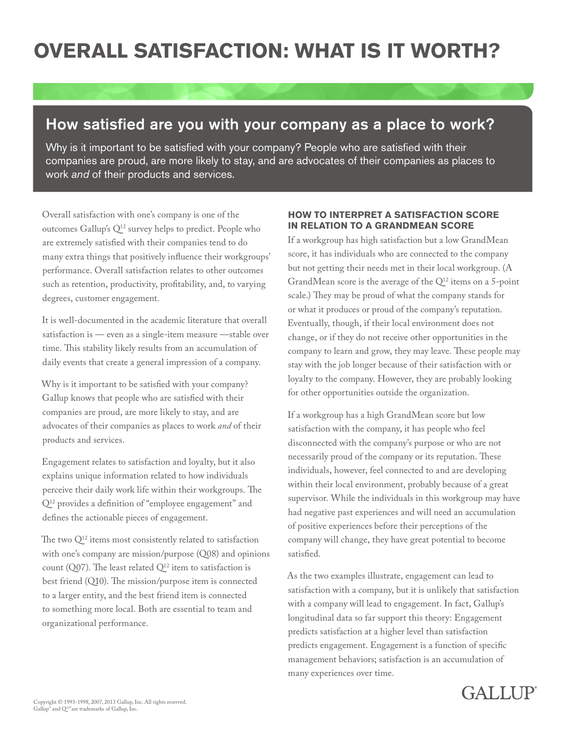### **OVERALL SATISFACTION: WHAT IS IT WORTH?**

#### How satisfied are you with your company as a place to work?

Why is it important to be satisfied with your company? People who are satisfied with their companies are proud, are more likely to stay, and are advocates of their companies as places to work *and* of their products and services.

Overall satisfaction with one's company is one of the outcomes Gallup's Q12 survey helps to predict. People who are extremely satisfied with their companies tend to do many extra things that positively influence their workgroups' performance. Overall satisfaction relates to other outcomes such as retention, productivity, profitability, and, to varying degrees, customer engagement.

It is well-documented in the academic literature that overall satisfaction is — even as a single-item measure —stable over time. This stability likely results from an accumulation of daily events that create a general impression of a company.

Why is it important to be satisfied with your company? Gallup knows that people who are satisfied with their companies are proud, are more likely to stay, and are advocates of their companies as places to work *and* of their products and services.

Engagement relates to satisfaction and loyalty, but it also explains unique information related to how individuals perceive their daily work life within their workgroups. The Q12 provides a definition of "employee engagement" and defines the actionable pieces of engagement.

The two  $Q^{12}$  items most consistently related to satisfaction with one's company are mission/purpose (Q08) and opinions count (Q07). The least related  $Q^{12}$  item to satisfaction is best friend (Q10). The mission/purpose item is connected to a larger entity, and the best friend item is connected to something more local. Both are essential to team and organizational performance.

#### **HOW TO INTERPRET A SATISFACTION SCORE IN RELATION TO A GRANDMEAN SCORE**

If a workgroup has high satisfaction but a low GrandMean score, it has individuals who are connected to the company but not getting their needs met in their local workgroup. (A GrandMean score is the average of the  $Q^{12}$  items on a 5-point scale.) They may be proud of what the company stands for or what it produces or proud of the company's reputation. Eventually, though, if their local environment does not change, or if they do not receive other opportunities in the company to learn and grow, they may leave. These people may stay with the job longer because of their satisfaction with or loyalty to the company. However, they are probably looking for other opportunities outside the organization.

If a workgroup has a high GrandMean score but low satisfaction with the company, it has people who feel disconnected with the company's purpose or who are not necessarily proud of the company or its reputation. These individuals, however, feel connected to and are developing within their local environment, probably because of a great supervisor. While the individuals in this workgroup may have had negative past experiences and will need an accumulation of positive experiences before their perceptions of the company will change, they have great potential to become satisfied.

As the two examples illustrate, engagement can lead to satisfaction with a company, but it is unlikely that satisfaction with a company will lead to engagement. In fact, Gallup's longitudinal data so far support this theory: Engagement predicts satisfaction at a higher level than satisfaction predicts engagement. Engagement is a function of specific management behaviors; satisfaction is an accumulation of many experiences over time.

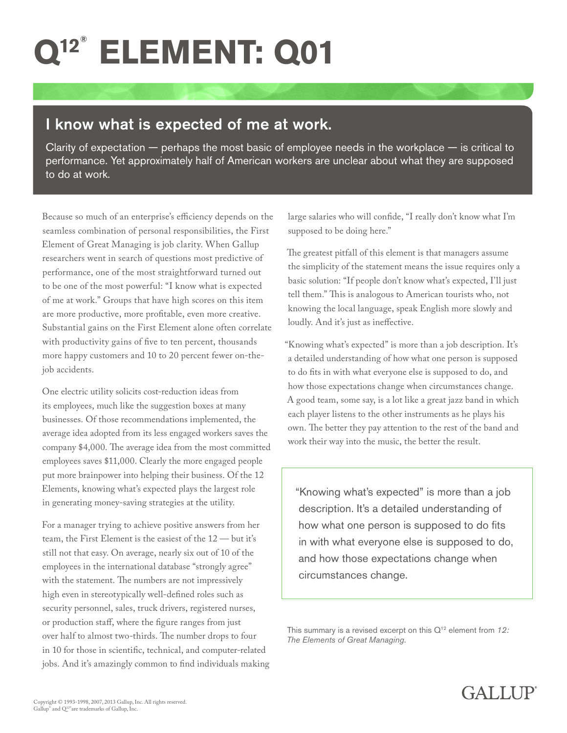#### I know what is expected of me at work.

Clarity of expectation  $-$  perhaps the most basic of employee needs in the workplace  $-$  is critical to performance. Yet approximately half of American workers are unclear about what they are supposed to do at work.

Because so much of an enterprise's efficiency depends on the seamless combination of personal responsibilities, the First Element of Great Managing is job clarity. When Gallup researchers went in search of questions most predictive of performance, one of the most straightforward turned out to be one of the most powerful: "I know what is expected of me at work." Groups that have high scores on this item are more productive, more profitable, even more creative. Substantial gains on the First Element alone often correlate with productivity gains of five to ten percent, thousands more happy customers and 10 to 20 percent fewer on-thejob accidents.

One electric utility solicits cost-reduction ideas from its employees, much like the suggestion boxes at many businesses. Of those recommendations implemented, the average idea adopted from its less engaged workers saves the company \$4,000. The average idea from the most committed employees saves \$11,000. Clearly the more engaged people put more brainpower into helping their business. Of the 12 Elements, knowing what's expected plays the largest role in generating money-saving strategies at the utility.

For a manager trying to achieve positive answers from her team, the First Element is the easiest of the 12 — but it's still not that easy. On average, nearly six out of 10 of the employees in the international database "strongly agree" with the statement. The numbers are not impressively high even in stereotypically well-defined roles such as security personnel, sales, truck drivers, registered nurses, or production staff, where the figure ranges from just over half to almost two-thirds. The number drops to four in 10 for those in scientific, technical, and computer-related jobs. And it's amazingly common to find individuals making large salaries who will confide, "I really don't know what I'm supposed to be doing here."

The greatest pitfall of this element is that managers assume the simplicity of the statement means the issue requires only a basic solution: "If people don't know what's expected, I'll just tell them." This is analogous to American tourists who, not knowing the local language, speak English more slowly and loudly. And it's just as ineffective.

"Knowing what's expected" is more than a job description. It's a detailed understanding of how what one person is supposed to do fits in with what everyone else is supposed to do, and how those expectations change when circumstances change. A good team, some say, is a lot like a great jazz band in which each player listens to the other instruments as he plays his own. The better they pay attention to the rest of the band and work their way into the music, the better the result.

"Knowing what's expected" is more than a job description. It's a detailed understanding of how what one person is supposed to do fits in with what everyone else is supposed to do, and how those expectations change when circumstances change.

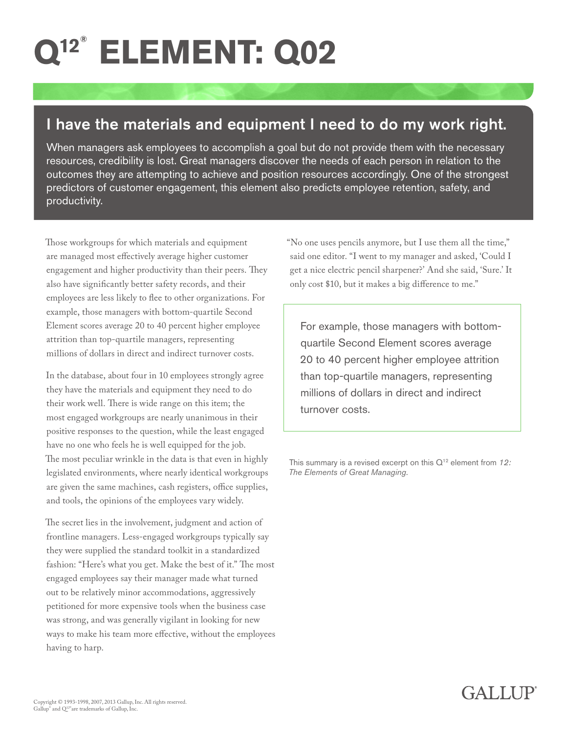#### I have the materials and equipment I need to do my work right.

When managers ask employees to accomplish a goal but do not provide them with the necessary resources, credibility is lost. Great managers discover the needs of each person in relation to the outcomes they are attempting to achieve and position resources accordingly. One of the strongest predictors of customer engagement, this element also predicts employee retention, safety, and productivity.

Those workgroups for which materials and equipment are managed most effectively average higher customer engagement and higher productivity than their peers. They also have significantly better safety records, and their employees are less likely to flee to other organizations. For example, those managers with bottom-quartile Second Element scores average 20 to 40 percent higher employee attrition than top-quartile managers, representing millions of dollars in direct and indirect turnover costs.

In the database, about four in 10 employees strongly agree they have the materials and equipment they need to do their work well. There is wide range on this item; the most engaged workgroups are nearly unanimous in their positive responses to the question, while the least engaged have no one who feels he is well equipped for the job. The most peculiar wrinkle in the data is that even in highly legislated environments, where nearly identical workgroups are given the same machines, cash registers, office supplies, and tools, the opinions of the employees vary widely.

The secret lies in the involvement, judgment and action of frontline managers. Less-engaged workgroups typically say they were supplied the standard toolkit in a standardized fashion: "Here's what you get. Make the best of it." The most engaged employees say their manager made what turned out to be relatively minor accommodations, aggressively petitioned for more expensive tools when the business case was strong, and was generally vigilant in looking for new ways to make his team more effective, without the employees having to harp.

"No one uses pencils anymore, but I use them all the time," said one editor. "I went to my manager and asked, 'Could I get a nice electric pencil sharpener?' And she said, 'Sure.' It only cost \$10, but it makes a big difference to me."

For example, those managers with bottomquartile Second Element scores average 20 to 40 percent higher employee attrition than top-quartile managers, representing millions of dollars in direct and indirect turnover costs.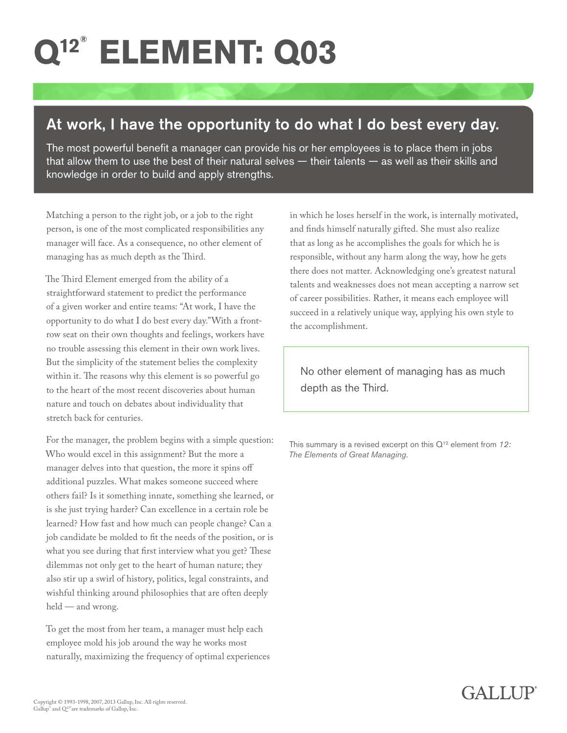#### At work, I have the opportunity to do what I do best every day.

The most powerful benefit a manager can provide his or her employees is to place them in jobs that allow them to use the best of their natural selves — their talents — as well as their skills and knowledge in order to build and apply strengths.

Matching a person to the right job, or a job to the right person, is one of the most complicated responsibilities any manager will face. As a consequence, no other element of managing has as much depth as the Third.

The Third Element emerged from the ability of a straightforward statement to predict the performance of a given worker and entire teams: "At work, I have the opportunity to do what I do best every day."With a frontrow seat on their own thoughts and feelings, workers have no trouble assessing this element in their own work lives. But the simplicity of the statement belies the complexity within it. The reasons why this element is so powerful go to the heart of the most recent discoveries about human nature and touch on debates about individuality that stretch back for centuries.

For the manager, the problem begins with a simple question: Who would excel in this assignment? But the more a manager delves into that question, the more it spins off additional puzzles. What makes someone succeed where others fail? Is it something innate, something she learned, or is she just trying harder? Can excellence in a certain role be learned? How fast and how much can people change? Can a job candidate be molded to fit the needs of the position, or is what you see during that first interview what you get? These dilemmas not only get to the heart of human nature; they also stir up a swirl of history, politics, legal constraints, and wishful thinking around philosophies that are often deeply held — and wrong.

To get the most from her team, a manager must help each employee mold his job around the way he works most naturally, maximizing the frequency of optimal experiences in which he loses herself in the work, is internally motivated, and finds himself naturally gifted. She must also realize that as long as he accomplishes the goals for which he is responsible, without any harm along the way, how he gets there does not matter. Acknowledging one's greatest natural talents and weaknesses does not mean accepting a narrow set of career possibilities. Rather, it means each employee will succeed in a relatively unique way, applying his own style to the accomplishment.

No other element of managing has as much depth as the Third.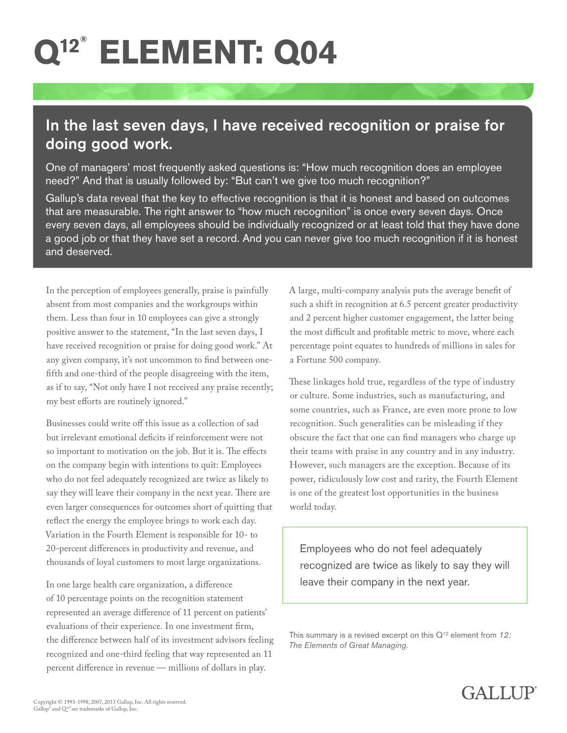#### In the last seven days, I have received recognition or praise for doing good work.

One of managers' most frequently asked questions is: "How much recognition does an employee need?" And that is usually followed by: "But can't we give too much recognition?"

Gallup's data reveal that the key to effective recognition is that it is honest and based on outcomes that are measurable. The right answer to "how much recognition" is once every seven days. Once every seven days, all employees should be individually recognized or at least told that they have done a good job or that they have set a record. And you can never give too much recognition if it is honest and deserved.

In the perception of employees generally, praise is painfully absent from most companies and the workgroups within them. Less than four in 10 employees can give a strongly positive answer to the statement, "In the last seven days, I have received recognition or praise for doing good work." At any given company, it's not uncommon to find between onefifth and one-third of the people disagreeing with the item, as if to say, "Not only have I not received any praise recently; my best efforts are routinely ignored."

Businesses could write off this issue as a collection of sad but irrelevant emotional deficits if reinforcement were not so important to motivation on the job. But it is. The effects on the company begin with intentions to quit: Employees who do not feel adequately recognized are twice as likely to say they will leave their company in the next year. There are even larger consequences for outcomes short of quitting that reflect the energy the employee brings to work each day. Variation in the Fourth Element is responsible for 10- to 20-percent differences in productivity and revenue, and thousands of loyal customers to most large organizations.

In one large health care organization, a difference of 10 percentage points on the recognition statement represented an average difference of 11 percent on patients' evaluations of their experience. In one investment firm, the difference between half of its investment advisors feeling recognized and one-third feeling that way represented an 11 percent difference in revenue — millions of dollars in play.

A large, multi-company analysis puts the average benefit of such a shift in recognition at 6.5 percent greater productivity and 2 percent higher customer engagement, the latter being the most difficult and profitable metric to move, where each percentage point equates to hundreds of millions in sales for a Fortune 500 company.

These linkages hold true, regardless of the type of industry or culture. Some industries, such as manufacturing, and some countries, such as France, are even more prone to low recognition. Such generalities can be misleading if they obscure the fact that one can find managers who charge up their teams with praise in any country and in any industry. However, such managers are the exception. Because of its power, ridiculously low cost and rarity, the Fourth Element is one of the greatest lost opportunities in the business world today.

Employees who do not feel adequately recognized are twice as likely to say they will leave their company in the next year.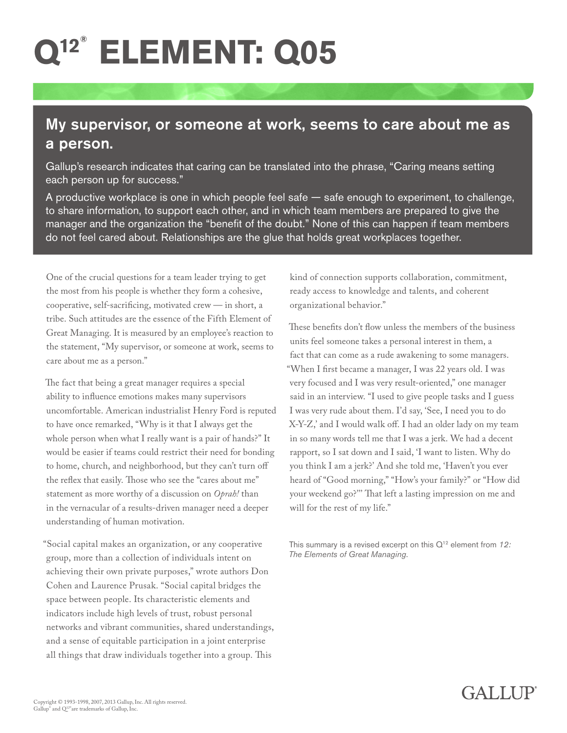#### My supervisor, or someone at work, seems to care about me as a person.

Gallup's research indicates that caring can be translated into the phrase, "Caring means setting each person up for success."

A productive workplace is one in which people feel safe — safe enough to experiment, to challenge, to share information, to support each other, and in which team members are prepared to give the manager and the organization the "benefit of the doubt." None of this can happen if team members do not feel cared about. Relationships are the glue that holds great workplaces together.

One of the crucial questions for a team leader trying to get the most from his people is whether they form a cohesive, cooperative, self-sacrificing, motivated crew — in short, a tribe. Such attitudes are the essence of the Fifth Element of Great Managing. It is measured by an employee's reaction to the statement, "My supervisor, or someone at work, seems to care about me as a person."

The fact that being a great manager requires a special ability to influence emotions makes many supervisors uncomfortable. American industrialist Henry Ford is reputed to have once remarked, "Why is it that I always get the whole person when what I really want is a pair of hands?" It would be easier if teams could restrict their need for bonding to home, church, and neighborhood, but they can't turn off the reflex that easily. Those who see the "cares about me" statement as more worthy of a discussion on *Oprah!* than in the vernacular of a results-driven manager need a deeper understanding of human motivation.

"Social capital makes an organization, or any cooperative group, more than a collection of individuals intent on achieving their own private purposes," wrote authors Don Cohen and Laurence Prusak. "Social capital bridges the space between people. Its characteristic elements and indicators include high levels of trust, robust personal networks and vibrant communities, shared understandings, and a sense of equitable participation in a joint enterprise all things that draw individuals together into a group. This

kind of connection supports collaboration, commitment, ready access to knowledge and talents, and coherent organizational behavior."

These benefits don't flow unless the members of the business units feel someone takes a personal interest in them, a fact that can come as a rude awakening to some managers. "When I first became a manager, I was 22 years old. I was very focused and I was very result-oriented," one manager said in an interview. "I used to give people tasks and I guess I was very rude about them. I'd say, 'See, I need you to do X-Y-Z,' and I would walk off. I had an older lady on my team in so many words tell me that I was a jerk. We had a decent rapport, so I sat down and I said, 'I want to listen. Why do you think I am a jerk?' And she told me, 'Haven't you ever heard of "Good morning," "How's your family?" or "How did your weekend go?''' That left a lasting impression on me and will for the rest of my life."

This summary is a revised excerpt on this Q12 element from *12: The Elements of Great Managing*.

### **GALLIP**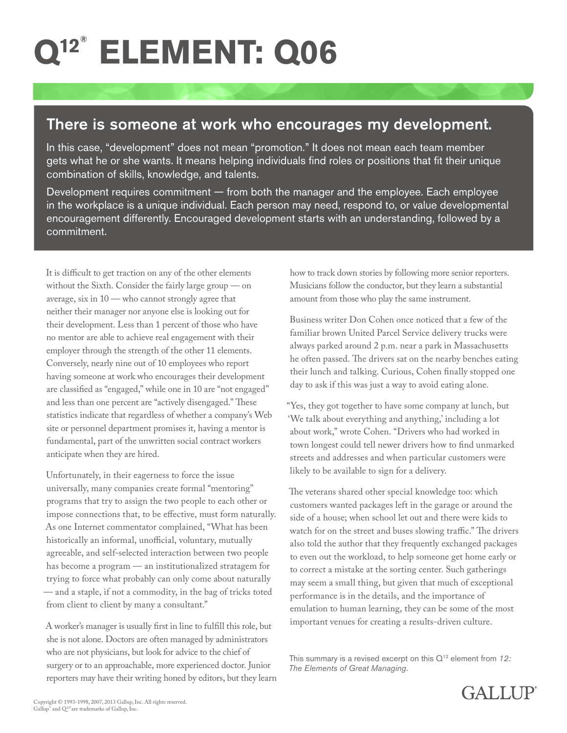#### There is someone at work who encourages my development.

In this case, "development" does not mean "promotion." It does not mean each team member gets what he or she wants. It means helping individuals find roles or positions that fit their unique combination of skills, knowledge, and talents.

Development requires commitment — from both the manager and the employee. Each employee in the workplace is a unique individual. Each person may need, respond to, or value developmental encouragement differently. Encouraged development starts with an understanding, followed by a commitment.

It is difficult to get traction on any of the other elements without the Sixth. Consider the fairly large group — on average, six in 10 — who cannot strongly agree that neither their manager nor anyone else is looking out for their development. Less than 1 percent of those who have no mentor are able to achieve real engagement with their employer through the strength of the other 11 elements. Conversely, nearly nine out of 10 employees who report having someone at work who encourages their development are classified as "engaged," while one in 10 are "not engaged" and less than one percent are "actively disengaged." These statistics indicate that regardless of whether a company's Web site or personnel department promises it, having a mentor is fundamental, part of the unwritten social contract workers anticipate when they are hired.

Unfortunately, in their eagerness to force the issue universally, many companies create formal "mentoring" programs that try to assign the two people to each other or impose connections that, to be effective, must form naturally. As one Internet commentator complained, "What has been historically an informal, unofficial, voluntary, mutually agreeable, and self-selected interaction between two people has become a program — an institutionalized stratagem for trying to force what probably can only come about naturally — and a staple, if not a commodity, in the bag of tricks toted from client to client by many a consultant."

A worker's manager is usually first in line to fulfill this role, but she is not alone. Doctors are often managed by administrators who are not physicians, but look for advice to the chief of surgery or to an approachable, more experienced doctor. Junior reporters may have their writing honed by editors, but they learn how to track down stories by following more senior reporters. Musicians follow the conductor, but they learn a substantial amount from those who play the same instrument.

Business writer Don Cohen once noticed that a few of the familiar brown United Parcel Service delivery trucks were always parked around 2 p.m. near a park in Massachusetts he often passed. The drivers sat on the nearby benches eating their lunch and talking. Curious, Cohen finally stopped one day to ask if this was just a way to avoid eating alone.

"Yes, they got together to have some company at lunch, but 'We talk about everything and anything,' including a lot about work," wrote Cohen. "Drivers who had worked in town longest could tell newer drivers how to find unmarked streets and addresses and when particular customers were likely to be available to sign for a delivery.

The veterans shared other special knowledge too: which customers wanted packages left in the garage or around the side of a house; when school let out and there were kids to watch for on the street and buses slowing traffic." The drivers also told the author that they frequently exchanged packages to even out the workload, to help someone get home early or to correct a mistake at the sorting center. Such gatherings may seem a small thing, but given that much of exceptional performance is in the details, and the importance of emulation to human learning, they can be some of the most important venues for creating a results-driven culture.

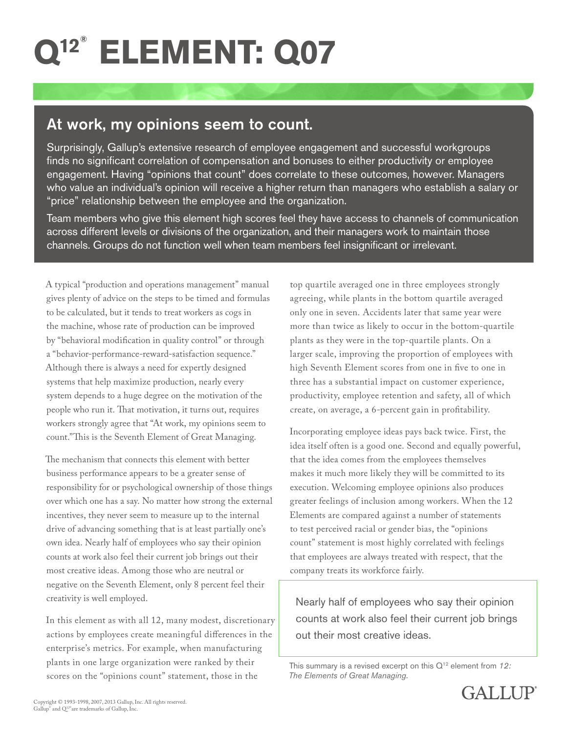#### At work, my opinions seem to count.

Surprisingly, Gallup's extensive research of employee engagement and successful workgroups finds no significant correlation of compensation and bonuses to either productivity or employee engagement. Having "opinions that count" does correlate to these outcomes, however. Managers who value an individual's opinion will receive a higher return than managers who establish a salary or "price" relationship between the employee and the organization.

Team members who give this element high scores feel they have access to channels of communication across different levels or divisions of the organization, and their managers work to maintain those channels. Groups do not function well when team members feel insignificant or irrelevant.

A typical "production and operations management" manual gives plenty of advice on the steps to be timed and formulas to be calculated, but it tends to treat workers as cogs in the machine, whose rate of production can be improved by "behavioral modification in quality control" or through a "behavior-performance-reward-satisfaction sequence." Although there is always a need for expertly designed systems that help maximize production, nearly every system depends to a huge degree on the motivation of the people who run it. That motivation, it turns out, requires workers strongly agree that "At work, my opinions seem to count."This is the Seventh Element of Great Managing.

The mechanism that connects this element with better business performance appears to be a greater sense of responsibility for or psychological ownership of those things over which one has a say. No matter how strong the external incentives, they never seem to measure up to the internal drive of advancing something that is at least partially one's own idea. Nearly half of employees who say their opinion counts at work also feel their current job brings out their most creative ideas. Among those who are neutral or negative on the Seventh Element, only 8 percent feel their creativity is well employed.

In this element as with all 12, many modest, discretionary actions by employees create meaningful differences in the enterprise's metrics. For example, when manufacturing plants in one large organization were ranked by their scores on the "opinions count" statement, those in the

top quartile averaged one in three employees strongly agreeing, while plants in the bottom quartile averaged only one in seven. Accidents later that same year were more than twice as likely to occur in the bottom-quartile plants as they were in the top-quartile plants. On a larger scale, improving the proportion of employees with high Seventh Element scores from one in five to one in three has a substantial impact on customer experience, productivity, employee retention and safety, all of which create, on average, a 6-percent gain in profitability.

Incorporating employee ideas pays back twice. First, the idea itself often is a good one. Second and equally powerful, that the idea comes from the employees themselves makes it much more likely they will be committed to its execution. Welcoming employee opinions also produces greater feelings of inclusion among workers. When the 12 Elements are compared against a number of statements to test perceived racial or gender bias, the "opinions count" statement is most highly correlated with feelings that employees are always treated with respect, that the company treats its workforce fairly.

Nearly half of employees who say their opinion counts at work also feel their current job brings out their most creative ideas.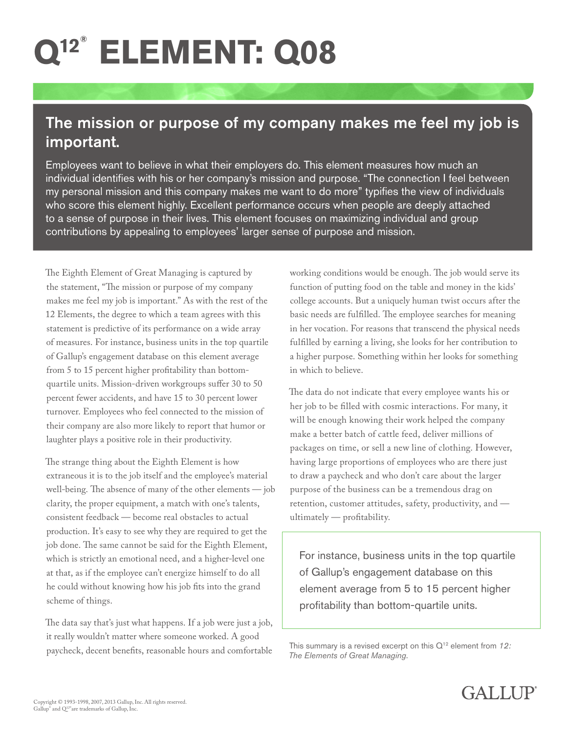#### The mission or purpose of my company makes me feel my job is important.

Employees want to believe in what their employers do. This element measures how much an individual identifies with his or her company's mission and purpose. "The connection I feel between my personal mission and this company makes me want to do more" typifies the view of individuals who score this element highly. Excellent performance occurs when people are deeply attached to a sense of purpose in their lives. This element focuses on maximizing individual and group contributions by appealing to employees' larger sense of purpose and mission.

The Eighth Element of Great Managing is captured by the statement, "The mission or purpose of my company makes me feel my job is important." As with the rest of the 12 Elements, the degree to which a team agrees with this statement is predictive of its performance on a wide array of measures. For instance, business units in the top quartile of Gallup's engagement database on this element average from 5 to 15 percent higher profitability than bottomquartile units. Mission-driven workgroups suffer 30 to 50 percent fewer accidents, and have 15 to 30 percent lower turnover. Employees who feel connected to the mission of their company are also more likely to report that humor or laughter plays a positive role in their productivity.

The strange thing about the Eighth Element is how extraneous it is to the job itself and the employee's material well-being. The absence of many of the other elements — job clarity, the proper equipment, a match with one's talents, consistent feedback — become real obstacles to actual production. It's easy to see why they are required to get the job done. The same cannot be said for the Eighth Element, which is strictly an emotional need, and a higher-level one at that, as if the employee can't energize himself to do all he could without knowing how his job fits into the grand scheme of things.

The data say that's just what happens. If a job were just a job, it really wouldn't matter where someone worked. A good paycheck, decent benefits, reasonable hours and comfortable working conditions would be enough. The job would serve its function of putting food on the table and money in the kids' college accounts. But a uniquely human twist occurs after the basic needs are fulfilled. The employee searches for meaning in her vocation. For reasons that transcend the physical needs fulfilled by earning a living, she looks for her contribution to a higher purpose. Something within her looks for something in which to believe.

The data do not indicate that every employee wants his or her job to be filled with cosmic interactions. For many, it will be enough knowing their work helped the company make a better batch of cattle feed, deliver millions of packages on time, or sell a new line of clothing. However, having large proportions of employees who are there just to draw a paycheck and who don't care about the larger purpose of the business can be a tremendous drag on retention, customer attitudes, safety, productivity, and ultimately — profitability.

For instance, business units in the top quartile of Gallup's engagement database on this element average from 5 to 15 percent higher profitability than bottom-quartile units.

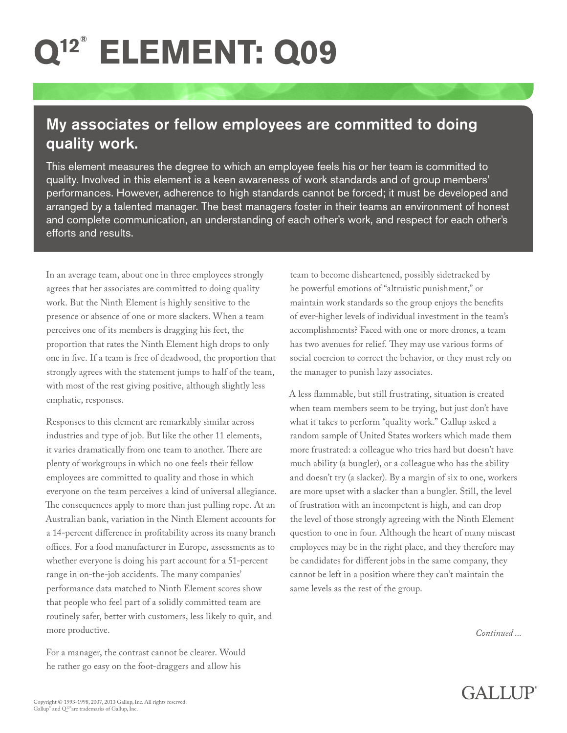#### My associates or fellow employees are committed to doing quality work.

This element measures the degree to which an employee feels his or her team is committed to quality. Involved in this element is a keen awareness of work standards and of group members' performances. However, adherence to high standards cannot be forced; it must be developed and arranged by a talented manager. The best managers foster in their teams an environment of honest and complete communication, an understanding of each other's work, and respect for each other's efforts and results.

In an average team, about one in three employees strongly agrees that her associates are committed to doing quality work. But the Ninth Element is highly sensitive to the presence or absence of one or more slackers. When a team perceives one of its members is dragging his feet, the proportion that rates the Ninth Element high drops to only one in five. If a team is free of deadwood, the proportion that strongly agrees with the statement jumps to half of the team, with most of the rest giving positive, although slightly less emphatic, responses.

Responses to this element are remarkably similar across industries and type of job. But like the other 11 elements, it varies dramatically from one team to another. There are plenty of workgroups in which no one feels their fellow employees are committed to quality and those in which everyone on the team perceives a kind of universal allegiance. The consequences apply to more than just pulling rope. At an Australian bank, variation in the Ninth Element accounts for a 14-percent difference in profitability across its many branch offices. For a food manufacturer in Europe, assessments as to whether everyone is doing his part account for a 51-percent range in on-the-job accidents. The many companies' performance data matched to Ninth Element scores show that people who feel part of a solidly committed team are routinely safer, better with customers, less likely to quit, and more productive.

For a manager, the contrast cannot be clearer. Would he rather go easy on the foot-draggers and allow his

team to become disheartened, possibly sidetracked by he powerful emotions of "altruistic punishment," or maintain work standards so the group enjoys the benefits of ever-higher levels of individual investment in the team's accomplishments? Faced with one or more drones, a team has two avenues for relief. They may use various forms of social coercion to correct the behavior, or they must rely on the manager to punish lazy associates.

A less flammable, but still frustrating, situation is created when team members seem to be trying, but just don't have what it takes to perform "quality work." Gallup asked a random sample of United States workers which made them more frustrated: a colleague who tries hard but doesn't have much ability (a bungler), or a colleague who has the ability and doesn't try (a slacker). By a margin of six to one, workers are more upset with a slacker than a bungler. Still, the level of frustration with an incompetent is high, and can drop the level of those strongly agreeing with the Ninth Element question to one in four. Although the heart of many miscast employees may be in the right place, and they therefore may be candidates for different jobs in the same company, they cannot be left in a position where they can't maintain the same levels as the rest of the group.

 *Continued ...*

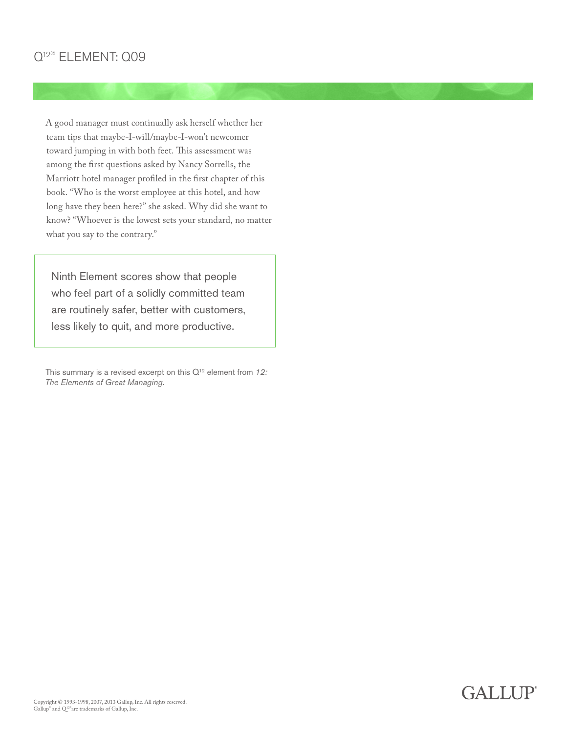A good manager must continually ask herself whether her team tips that maybe-I-will/maybe-I-won't newcomer toward jumping in with both feet. This assessment was among the first questions asked by Nancy Sorrells, the Marriott hotel manager profiled in the first chapter of this book. "Who is the worst employee at this hotel, and how long have they been here?" she asked. Why did she want to know? "Whoever is the lowest sets your standard, no matter what you say to the contrary."

Ninth Element scores show that people who feel part of a solidly committed team are routinely safer, better with customers, less likely to quit, and more productive.

This summary is a revised excerpt on this Q12 element from *12: The Elements of Great Managing*.

#### Copyright © 1993-1998, 2007, 2013 Gallup, Inc. All rights reserved.<br>Gallup® and Q<sup>12®</sup>are trademarks of Gallup, Inc.

#### **GALLIP**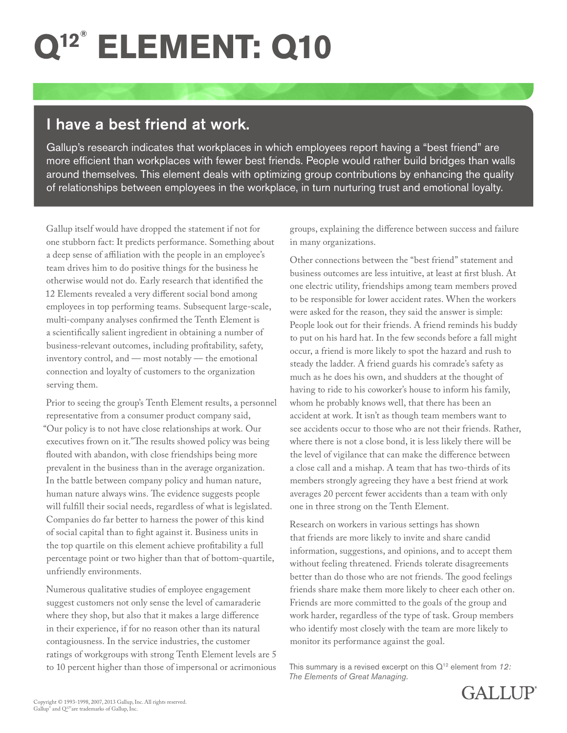#### I have a best friend at work.

Gallup's research indicates that workplaces in which employees report having a "best friend" are more efficient than workplaces with fewer best friends. People would rather build bridges than walls around themselves. This element deals with optimizing group contributions by enhancing the quality of relationships between employees in the workplace, in turn nurturing trust and emotional loyalty.

Gallup itself would have dropped the statement if not for one stubborn fact: It predicts performance. Something about a deep sense of affiliation with the people in an employee's team drives him to do positive things for the business he otherwise would not do. Early research that identified the 12 Elements revealed a very different social bond among employees in top performing teams. Subsequent large-scale, multi-company analyses confirmed the Tenth Element is a scientifically salient ingredient in obtaining a number of business-relevant outcomes, including profitability, safety, inventory control, and — most notably — the emotional connection and loyalty of customers to the organization serving them.

Prior to seeing the group's Tenth Element results, a personnel representative from a consumer product company said, "Our policy is to not have close relationships at work. Our executives frown on it."The results showed policy was being flouted with abandon, with close friendships being more prevalent in the business than in the average organization. In the battle between company policy and human nature, human nature always wins. The evidence suggests people will fulfill their social needs, regardless of what is legislated. Companies do far better to harness the power of this kind of social capital than to fight against it. Business units in the top quartile on this element achieve profitability a full percentage point or two higher than that of bottom-quartile, unfriendly environments.

Numerous qualitative studies of employee engagement suggest customers not only sense the level of camaraderie where they shop, but also that it makes a large difference in their experience, if for no reason other than its natural contagiousness. In the service industries, the customer ratings of workgroups with strong Tenth Element levels are 5 to 10 percent higher than those of impersonal or acrimonious groups, explaining the difference between success and failure in many organizations.

Other connections between the "best friend" statement and business outcomes are less intuitive, at least at first blush. At one electric utility, friendships among team members proved to be responsible for lower accident rates. When the workers were asked for the reason, they said the answer is simple: People look out for their friends. A friend reminds his buddy to put on his hard hat. In the few seconds before a fall might occur, a friend is more likely to spot the hazard and rush to steady the ladder. A friend guards his comrade's safety as much as he does his own, and shudders at the thought of having to ride to his coworker's house to inform his family, whom he probably knows well, that there has been an accident at work. It isn't as though team members want to see accidents occur to those who are not their friends. Rather, where there is not a close bond, it is less likely there will be the level of vigilance that can make the difference between a close call and a mishap. A team that has two-thirds of its members strongly agreeing they have a best friend at work averages 20 percent fewer accidents than a team with only one in three strong on the Tenth Element.

Research on workers in various settings has shown that friends are more likely to invite and share candid information, suggestions, and opinions, and to accept them without feeling threatened. Friends tolerate disagreements better than do those who are not friends. The good feelings friends share make them more likely to cheer each other on. Friends are more committed to the goals of the group and work harder, regardless of the type of task. Group members who identify most closely with the team are more likely to monitor its performance against the goal.

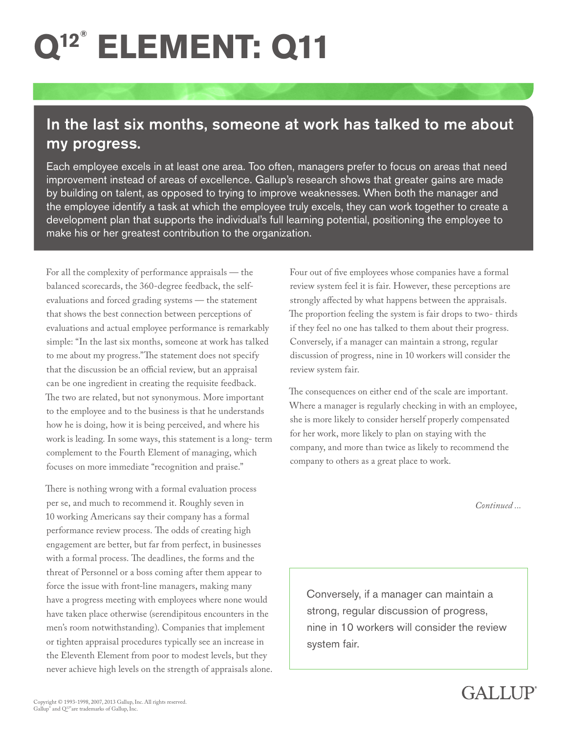#### In the last six months, someone at work has talked to me about my progress.

Each employee excels in at least one area. Too often, managers prefer to focus on areas that need improvement instead of areas of excellence. Gallup's research shows that greater gains are made by building on talent, as opposed to trying to improve weaknesses. When both the manager and the employee identify a task at which the employee truly excels, they can work together to create a development plan that supports the individual's full learning potential, positioning the employee to make his or her greatest contribution to the organization.

For all the complexity of performance appraisals — the balanced scorecards, the 360-degree feedback, the selfevaluations and forced grading systems — the statement that shows the best connection between perceptions of evaluations and actual employee performance is remarkably simple: "In the last six months, someone at work has talked to me about my progress."The statement does not specify that the discussion be an official review, but an appraisal can be one ingredient in creating the requisite feedback. The two are related, but not synonymous. More important to the employee and to the business is that he understands how he is doing, how it is being perceived, and where his work is leading. In some ways, this statement is a long- term complement to the Fourth Element of managing, which focuses on more immediate "recognition and praise."

There is nothing wrong with a formal evaluation process per se, and much to recommend it. Roughly seven in 10 working Americans say their company has a formal performance review process. The odds of creating high engagement are better, but far from perfect, in businesses with a formal process. The deadlines, the forms and the threat of Personnel or a boss coming after them appear to force the issue with front-line managers, making many have a progress meeting with employees where none would have taken place otherwise (serendipitous encounters in the men's room notwithstanding). Companies that implement or tighten appraisal procedures typically see an increase in the Eleventh Element from poor to modest levels, but they never achieve high levels on the strength of appraisals alone.

Four out of five employees whose companies have a formal review system feel it is fair. However, these perceptions are strongly affected by what happens between the appraisals. The proportion feeling the system is fair drops to two- thirds if they feel no one has talked to them about their progress. Conversely, if a manager can maintain a strong, regular discussion of progress, nine in 10 workers will consider the review system fair.

The consequences on either end of the scale are important. Where a manager is regularly checking in with an employee, she is more likely to consider herself properly compensated for her work, more likely to plan on staying with the company, and more than twice as likely to recommend the company to others as a great place to work.

*Continued ...*

Conversely, if a manager can maintain a strong, regular discussion of progress, nine in 10 workers will consider the review system fair.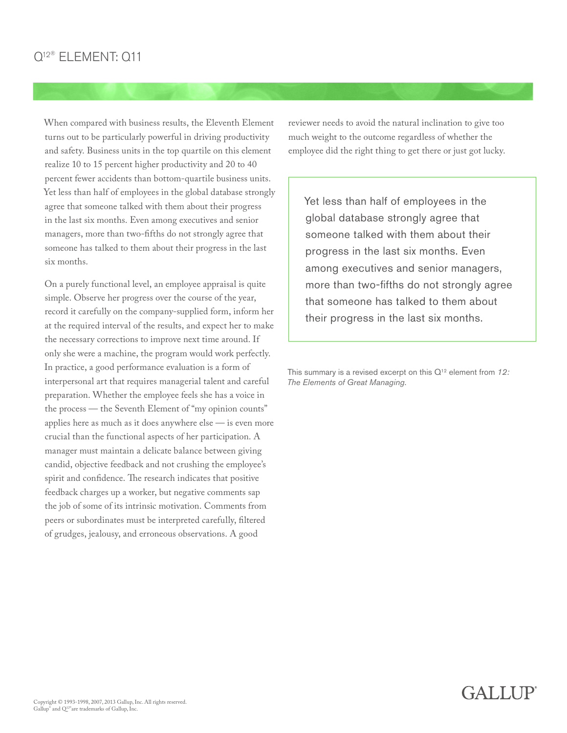When compared with business results, the Eleventh Element turns out to be particularly powerful in driving productivity and safety. Business units in the top quartile on this element realize 10 to 15 percent higher productivity and 20 to 40 percent fewer accidents than bottom-quartile business units. Yet less than half of employees in the global database strongly agree that someone talked with them about their progress in the last six months. Even among executives and senior managers, more than two-fifths do not strongly agree that someone has talked to them about their progress in the last six months.

On a purely functional level, an employee appraisal is quite simple. Observe her progress over the course of the year, record it carefully on the company-supplied form, inform her at the required interval of the results, and expect her to make the necessary corrections to improve next time around. If only she were a machine, the program would work perfectly. In practice, a good performance evaluation is a form of interpersonal art that requires managerial talent and careful preparation. Whether the employee feels she has a voice in the process — the Seventh Element of "my opinion counts" applies here as much as it does anywhere else — is even more crucial than the functional aspects of her participation. A manager must maintain a delicate balance between giving candid, objective feedback and not crushing the employee's spirit and confidence. The research indicates that positive feedback charges up a worker, but negative comments sap the job of some of its intrinsic motivation. Comments from peers or subordinates must be interpreted carefully, filtered of grudges, jealousy, and erroneous observations. A good

reviewer needs to avoid the natural inclination to give too much weight to the outcome regardless of whether the employee did the right thing to get there or just got lucky.

Yet less than half of employees in the global database strongly agree that someone talked with them about their progress in the last six months. Even among executives and senior managers, more than two-fifths do not strongly agree that someone has talked to them about their progress in the last six months.